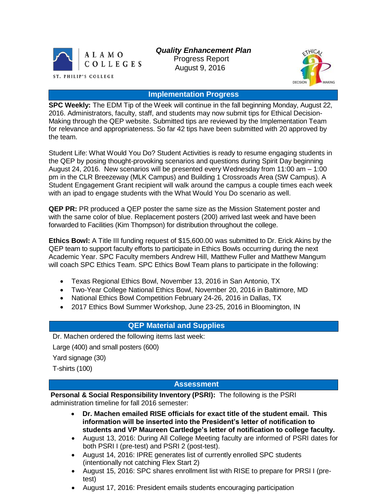

*Quality Enhancement Plan* Progress Report August 9, 2016



## **Implementation Progress**

**SPC Weekly:** The EDM Tip of the Week will continue in the fall beginning Monday, August 22, 2016. Administrators, faculty, staff, and students may now submit tips for Ethical Decision-Making through the QEP website. Submitted tips are reviewed by the Implementation Team for relevance and appropriateness. So far 42 tips have been submitted with 20 approved by the team.

Student Life: What Would You Do? Student Activities is ready to resume engaging students in the QEP by posing thought-provoking scenarios and questions during Spirit Day beginning August 24, 2016. New scenarios will be presented every Wednesday from 11:00 am – 1:00 pm in the CLR Breezeway (MLK Campus) and Building 1 Crossroads Area (SW Campus). A Student Engagement Grant recipient will walk around the campus a couple times each week with an ipad to engage students with the What Would You Do scenario as well.

**QEP PR:** PR produced a QEP poster the same size as the Mission Statement poster and with the same color of blue. Replacement posters (200) arrived last week and have been forwarded to Facilities (Kim Thompson) for distribution throughout the college.

**Ethics Bowl:** A Title III funding request of \$15,600.00 was submitted to Dr. Erick Akins by the QEP team to support faculty efforts to participate in Ethics Bowls occurring during the next Academic Year. SPC Faculty members Andrew Hill, Matthew Fuller and Matthew Mangum will coach SPC Ethics Team. SPC Ethics Bowl Team plans to participate in the following:

- Texas Regional Ethics Bowl, November 13, 2016 in San Antonio, TX
- Two-Year College National Ethics Bowl, November 20, 2016 in Baltimore, MD
- National Ethics Bowl Competition February 24-26, 2016 in Dallas, TX
- 2017 Ethics Bowl Summer Workshop, June 23-25, 2016 in Bloomington, IN

## **QEP Material and Supplies**

Dr. Machen ordered the following items last week:

Large (400) and small posters (600)

Yard signage (30)

T-shirts (100)

## **Assessment**

**Personal & Social Responsibility Inventory (PSRI):** The following is the PSRI administration timeline for fall 2016 semester:

- **Dr. Machen emailed RISE officials for exact title of the student email. This information will be inserted into the President's letter of notification to students and VP Maureen Cartledge's letter of notification to college faculty.**
- August 13, 2016: During All College Meeting faculty are informed of PSRI dates for both PSRI I (pre-test) and PSRI 2 (post-test).
- August 14, 2016: IPRE generates list of currently enrolled SPC students (intentionally not catching Flex Start 2)
- August 15, 2016: SPC shares enrollment list with RISE to prepare for PRSI I (pretest)
- August 17, 2016: President emails students encouraging participation